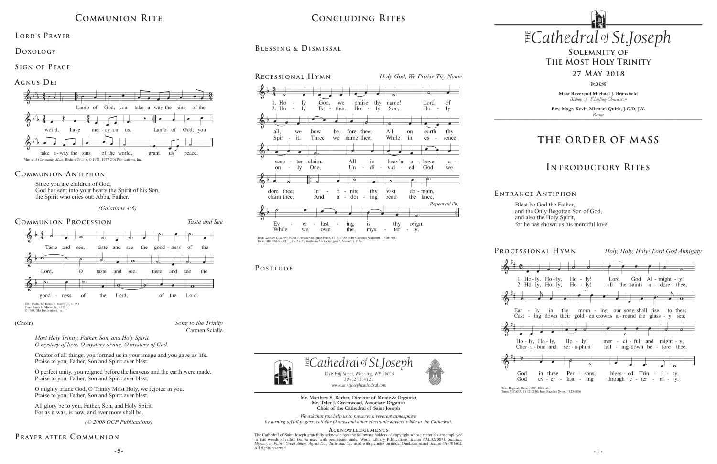**Most Reverend Michael J. Bransfield** *Bishop of Wheeling-Charleston*

**Rev. Msgr. Kevin Michael Quirk, J.C.D, J.V.** *Rector*

*1218 Eoff Street, Wheeling, WV 26003 304.233.4121 304.233.4121*

*www.saintjosephcathedral.com*

 $\mathbb{E}$ Cathedral of St.Joseph

*www.saintjosephcathedral.com* **Mr. Matthew S. Berher, Director of Music & Organist Mr. Tyler J. Greenwood, Associate Organist Choir of the Cathedral of Saint Joseph**

**Processional Hymn** *Holy, Holy, Holy! Lord God Almighty* God Al - might - y! 1. Ho-ly, Ho-ly,  $Ho - Iv!$ Lord 2.  $Ho - IV$ .  $Ho - IV$ .  $Ho - IV!$ all the saints a - dore thee. in the morn - ing our song shall rise to thee:  $-1y$ Cast - ing down their gold - en crowns a - round the glass - y sea;  $\overline{\bullet}$   $\overline{\bullet}$   $\overline{\circ}$  $\overline{a}$  $Ho - ly$ ,  $Ho - ly$ ,  $Ho - ly!$ mer - ci - ful and might - y, fall - ing down be - fore thee,  $Cher-u-bim$  and ser - a-phim Per - sons, bless - ed Trin - i - ty. in three  $ev - er$ - last  $-$  ing through  $e$  - ter -  $ni$  - ty.

Text: Reginald Heber, 1783-1826, alt.<br>Tune: NICAEA, 11 12 12 10; John Bacchus Dykes, 1823-1876

**- 5 - - 1 -** The Cathedral of Saint Joseph gratefully acknowledges the following holders of copyright whose materials are employed in this worship leaflet: *Gloria* used with permission under World Library Publications license #AL0220871. *Sanctus; Mystery of Faith; Great Amen; Agnus Dei; Taste and See* used with permission under OneLicense.net license #A-701662. All rights reserved.



*We ask that you help us to preserve a reverent atmosphere by turning off all pagers, cellular phones and other electronic devices while at the Cathedral.*

#### ACKNOWLEDGEMENTS

## **Solemnity of The Most Holy Trinity**

**27 May 2018**

 $80C<sub>3</sub>$ 

# **THE ORDER OF MASS**

# **Introductory Rites**

# $CONCLUDING RITES$  *Cathedral St THE of .Joseph* **Concluding Rites**

### LORD'S PRAYER

Blest be God the Father, and the Only Begotten Son of God, and also the Holy Spirit, for he has shown us his merciful love.

#### **E ntrance A ntiphon**

#### **Communion Procession** *Taste and See*





Since you are children of God, God has sent into your hearts the Spirit of his Son, the Spirit who cries out: Abba, Father.

 *(Galatians 4:6)* 

### **Communion Antiphon**

# **Communion Rite**

#### **Doxology**

### **Sign of Peace**



*Song to the Trinity* Carmen Scialla

#### (Choir)

*(© 2008 OCP Publications)* 

## PRAYER AFTER COMMUNION

*Most Holy Trinity, Father, Son, and Holy Spirit. O mystery of love. O mystery divine. O mystery of God.*

Creator of all things, you formed us in your image and you gave us life. Praise to you, Father, Son and Spirit ever blest.

O perfect unity, you reigned before the heavens and the earth were made. Praise to you, Father, Son and Spirit ever blest.

O mighty triune God, O Trinity Most Holy, we rejoice in you. Praise to you, Father, Son and Spirit ever blest.

All glory be to you, Father, Son, and Holy Spirit. For as it was, is now, and ever more shall be.









**P ostlude**